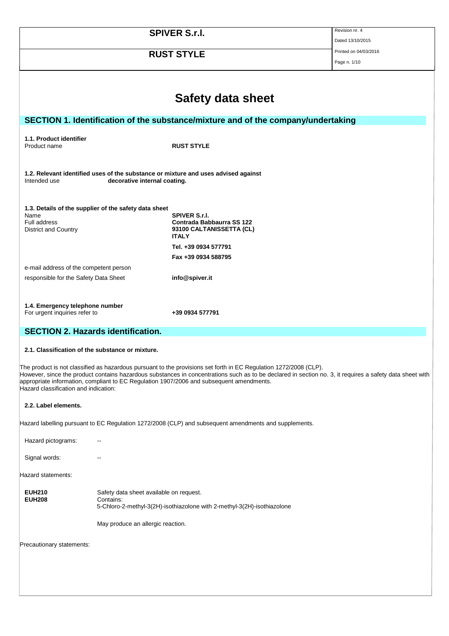| <b>SPIVER S.r.I.</b>                                                            |                                         |                                                                                                                   | Revision nr. 4                                                                                                                                           |
|---------------------------------------------------------------------------------|-----------------------------------------|-------------------------------------------------------------------------------------------------------------------|----------------------------------------------------------------------------------------------------------------------------------------------------------|
|                                                                                 |                                         |                                                                                                                   | Dated 13/10/2015                                                                                                                                         |
|                                                                                 |                                         | <b>RUST STYLE</b>                                                                                                 | Printed on 04/03/2016                                                                                                                                    |
|                                                                                 |                                         |                                                                                                                   | Page n. 1/10                                                                                                                                             |
|                                                                                 |                                         |                                                                                                                   |                                                                                                                                                          |
|                                                                                 |                                         |                                                                                                                   |                                                                                                                                                          |
|                                                                                 |                                         | Safety data sheet                                                                                                 |                                                                                                                                                          |
|                                                                                 |                                         | SECTION 1. Identification of the substance/mixture and of the company/undertaking                                 |                                                                                                                                                          |
|                                                                                 |                                         |                                                                                                                   |                                                                                                                                                          |
| 1.1. Product identifier<br>Product name                                         |                                         | <b>RUST STYLE</b>                                                                                                 |                                                                                                                                                          |
|                                                                                 |                                         |                                                                                                                   |                                                                                                                                                          |
|                                                                                 |                                         |                                                                                                                   |                                                                                                                                                          |
| Intended use                                                                    | decorative internal coating.            | 1.2. Relevant identified uses of the substance or mixture and uses advised against                                |                                                                                                                                                          |
|                                                                                 |                                         |                                                                                                                   |                                                                                                                                                          |
| 1.3. Details of the supplier of the safety data sheet                           |                                         |                                                                                                                   |                                                                                                                                                          |
| Name                                                                            |                                         | <b>SPIVER S.r.I.</b>                                                                                              |                                                                                                                                                          |
| <b>Full address</b><br>District and Country                                     |                                         | Contrada Babbaurra SS 122<br>93100 CALTANISSETTA (CL)                                                             |                                                                                                                                                          |
|                                                                                 |                                         | <b>ITALY</b>                                                                                                      |                                                                                                                                                          |
|                                                                                 |                                         | Tel. +39 0934 577791                                                                                              |                                                                                                                                                          |
|                                                                                 |                                         | Fax +39 0934 588795                                                                                               |                                                                                                                                                          |
| e-mail address of the competent person<br>responsible for the Safety Data Sheet |                                         | info@spiver.it                                                                                                    |                                                                                                                                                          |
|                                                                                 |                                         |                                                                                                                   |                                                                                                                                                          |
|                                                                                 |                                         |                                                                                                                   |                                                                                                                                                          |
| 1.4. Emergency telephone number<br>For urgent inquiries refer to                |                                         | +39 0934 577791                                                                                                   |                                                                                                                                                          |
|                                                                                 |                                         |                                                                                                                   |                                                                                                                                                          |
| <b>SECTION 2. Hazards identification.</b>                                       |                                         |                                                                                                                   |                                                                                                                                                          |
| 2.1. Classification of the substance or mixture.                                |                                         |                                                                                                                   |                                                                                                                                                          |
|                                                                                 |                                         | The product is not classified as hazardous pursuant to the provisions set forth in EC Regulation 1272/2008 (CLP). |                                                                                                                                                          |
|                                                                                 |                                         | appropriate information, compliant to EC Regulation 1907/2006 and subsequent amendments.                          | However, since the product contains hazardous substances in concentrations such as to be declared in section no. 3, it requires a safety data sheet with |
| Hazard classification and indication:                                           |                                         |                                                                                                                   |                                                                                                                                                          |
| 2.2. Label elements.                                                            |                                         |                                                                                                                   |                                                                                                                                                          |
|                                                                                 |                                         | Hazard labelling pursuant to EC Regulation 1272/2008 (CLP) and subsequent amendments and supplements.             |                                                                                                                                                          |
| Hazard pictograms:                                                              |                                         |                                                                                                                   |                                                                                                                                                          |
|                                                                                 |                                         |                                                                                                                   |                                                                                                                                                          |
| Signal words:                                                                   |                                         |                                                                                                                   |                                                                                                                                                          |
| Hazard statements:                                                              |                                         |                                                                                                                   |                                                                                                                                                          |
| <b>EUH210</b>                                                                   | Safety data sheet available on request. |                                                                                                                   |                                                                                                                                                          |
| <b>EUH208</b>                                                                   | Contains:                               | 5-Chloro-2-methyl-3(2H)-isothiazolone with 2-methyl-3(2H)-isothiazolone                                           |                                                                                                                                                          |
|                                                                                 | May produce an allergic reaction.       |                                                                                                                   |                                                                                                                                                          |
|                                                                                 |                                         |                                                                                                                   |                                                                                                                                                          |
| Precautionary statements:                                                       |                                         |                                                                                                                   |                                                                                                                                                          |
|                                                                                 |                                         |                                                                                                                   |                                                                                                                                                          |
|                                                                                 |                                         |                                                                                                                   |                                                                                                                                                          |
|                                                                                 |                                         |                                                                                                                   |                                                                                                                                                          |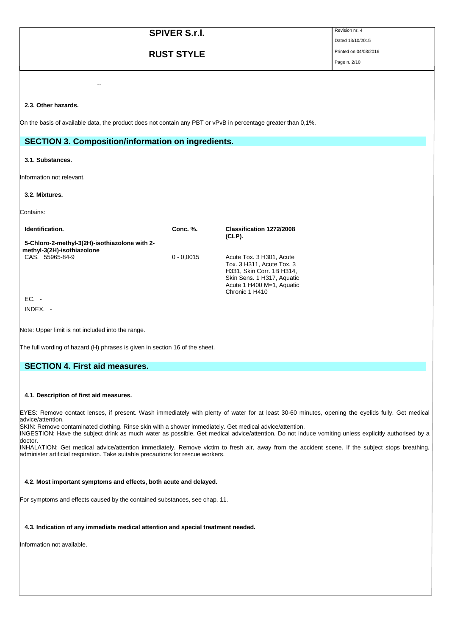| <b>SPIVER S.r.l.</b>                                                                                          | Revision nr. 4        |
|---------------------------------------------------------------------------------------------------------------|-----------------------|
|                                                                                                               | Dated 13/10/2015      |
| <b>RUST STYLE</b>                                                                                             | Printed on 04/03/2016 |
|                                                                                                               | Page n. 2/10          |
|                                                                                                               |                       |
|                                                                                                               |                       |
| $\sim$ $\sim$                                                                                                 |                       |
|                                                                                                               |                       |
| 2.3. Other hazards.                                                                                           |                       |
|                                                                                                               |                       |
| On the basis of available data, the product does not contain any PBT or vPvB in percentage greater than 0,1%. |                       |
|                                                                                                               |                       |
| <b>SECTION 3. Composition/information on ingredients.</b>                                                     |                       |

#### **3.1. Substances.**

Information not relevant.

## **3.2. Mixtures.**

Contains:

| Identification.                                                             | Conc. %.     | Classification 1272/2008<br>$(CLP)$ .                                                                                                                           |
|-----------------------------------------------------------------------------|--------------|-----------------------------------------------------------------------------------------------------------------------------------------------------------------|
| 5-Chloro-2-methyl-3(2H)-isothiazolone with 2-<br>methyl-3(2H)-isothiazolone |              |                                                                                                                                                                 |
| CAS. 55965-84-9                                                             | $0 - 0.0015$ | Acute Tox. 3 H301, Acute<br>Tox. 3 H311, Acute Tox. 3<br>H331, Skin Corr. 1B H314,<br>Skin Sens. 1 H317, Aquatic<br>Acute 1 H400 M=1, Aquatic<br>Chronic 1 H410 |
| $EC. -$                                                                     |              |                                                                                                                                                                 |
| INDEX.                                                                      |              |                                                                                                                                                                 |

Note: Upper limit is not included into the range.

The full wording of hazard (H) phrases is given in section 16 of the sheet.

## **SECTION 4. First aid measures.**

#### **4.1. Description of first aid measures.**

EYES: Remove contact lenses, if present. Wash immediately with plenty of water for at least 30-60 minutes, opening the eyelids fully. Get medical advice/attention.

SKIN: Remove contaminated clothing. Rinse skin with a shower immediately. Get medical advice/attention.

INGESTION: Have the subject drink as much water as possible. Get medical advice/attention. Do not induce vomiting unless explicitly authorised by a doctor.

INHALATION: Get medical advice/attention immediately. Remove victim to fresh air, away from the accident scene. If the subject stops breathing, administer artificial respiration. Take suitable precautions for rescue workers.

## **4.2. Most important symptoms and effects, both acute and delayed.**

For symptoms and effects caused by the contained substances, see chap. 11.

### **4.3. Indication of any immediate medical attention and special treatment needed.**

Information not available.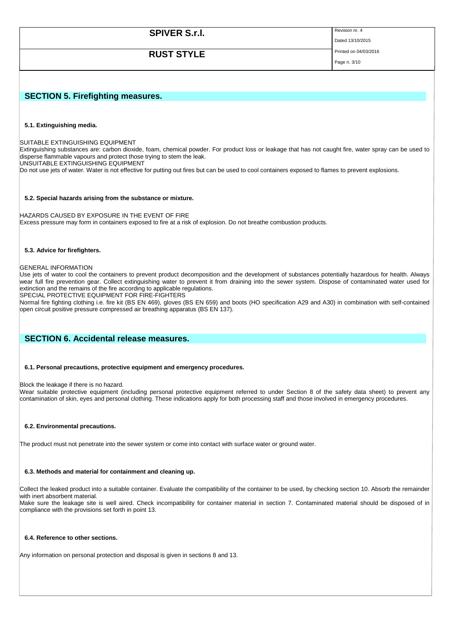| <b>SPIVER S.r.I.</b>                                                                                                                                                                                                                                               | Revision nr. 4<br>Dated 13/10/2015 |
|--------------------------------------------------------------------------------------------------------------------------------------------------------------------------------------------------------------------------------------------------------------------|------------------------------------|
|                                                                                                                                                                                                                                                                    | Printed on 04/03/2016              |
| <b>RUST STYLE</b>                                                                                                                                                                                                                                                  | Page n. 3/10                       |
|                                                                                                                                                                                                                                                                    |                                    |
| <b>SECTION 5. Firefighting measures.</b>                                                                                                                                                                                                                           |                                    |
|                                                                                                                                                                                                                                                                    |                                    |
| 5.1. Extinguishing media.                                                                                                                                                                                                                                          |                                    |
| SUITABLE EXTINGUISHING EQUIPMENT<br>Extinguishing substances are: carbon dioxide, foam, chemical powder. For product loss or leakage that has not caught fire, water spray can be used to<br>disperse flammable vapours and protect those trying to stem the leak. |                                    |

UNSUITABLE EXTINGUISHING EQUIPMENT

Do not use jets of water. Water is not effective for putting out fires but can be used to cool containers exposed to flames to prevent explosions.

## **5.2. Special hazards arising from the substance or mixture.**

HAZARDS CAUSED BY EXPOSURE IN THE EVENT OF FIRE Excess pressure may form in containers exposed to fire at a risk of explosion. Do not breathe combustion products.

## **5.3. Advice for firefighters.**

## GENERAL INFORMATION

Use jets of water to cool the containers to prevent product decomposition and the development of substances potentially hazardous for health. Always wear full fire prevention gear. Collect extinguishing water to prevent it from draining into the sewer system. Dispose of contaminated water used for extinction and the remains of the fire according to applicable regulations.

SPECIAL PROTECTIVE EQUIPMENT FOR FIRE-FIGHTERS

Normal fire fighting clothing i.e. fire kit (BS EN 469), gloves (BS EN 659) and boots (HO specification A29 and A30) in combination with self-contained open circuit positive pressure compressed air breathing apparatus (BS EN 137).

## **SECTION 6. Accidental release measures.**

## **6.1. Personal precautions, protective equipment and emergency procedures.**

Block the leakage if there is no hazard.

Wear suitable protective equipment (including personal protective equipment referred to under Section 8 of the safety data sheet) to prevent any contamination of skin, eyes and personal clothing. These indications apply for both processing staff and those involved in emergency procedures.

## **6.2. Environmental precautions.**

The product must not penetrate into the sewer system or come into contact with surface water or ground water.

## **6.3. Methods and material for containment and cleaning up.**

Collect the leaked product into a suitable container. Evaluate the compatibility of the container to be used, by checking section 10. Absorb the remainder with inert absorbent material.

Make sure the leakage site is well aired. Check incompatibility for container material in section 7. Contaminated material should be disposed of in compliance with the provisions set forth in point 13.

## **6.4. Reference to other sections.**

Any information on personal protection and disposal is given in sections 8 and 13.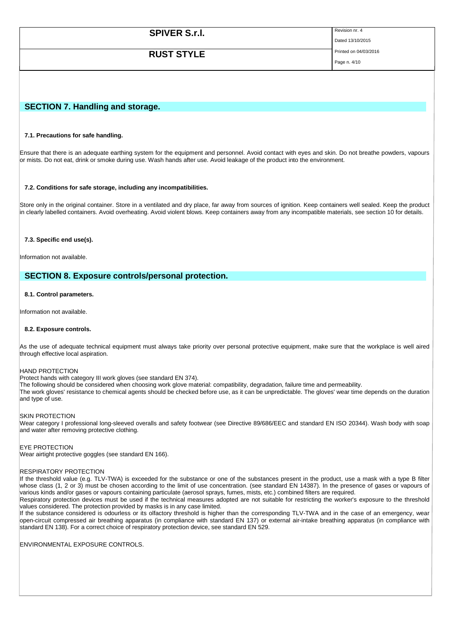| <b>SPIVER S.r.l.</b> | Revision nr. 4        |
|----------------------|-----------------------|
|                      | Dated 13/10/2015      |
| <b>RUST STYLE</b>    | Printed on 04/03/2016 |
|                      | Page n. 4/10          |

## **SECTION 7. Handling and storage.**

#### **7.1. Precautions for safe handling.**

Ensure that there is an adequate earthing system for the equipment and personnel. Avoid contact with eyes and skin. Do not breathe powders, vapours or mists. Do not eat, drink or smoke during use. Wash hands after use. Avoid leakage of the product into the environment.

#### **7.2. Conditions for safe storage, including any incompatibilities.**

Store only in the original container. Store in a ventilated and dry place, far away from sources of ignition. Keep containers well sealed. Keep the product in clearly labelled containers. Avoid overheating. Avoid violent blows. Keep containers away from any incompatible materials, see section 10 for details.

#### **7.3. Specific end use(s).**

Information not available.

## **SECTION 8. Exposure controls/personal protection.**

### **8.1. Control parameters.**

Information not available.

#### **8.2. Exposure controls.**

As the use of adequate technical equipment must always take priority over personal protective equipment, make sure that the workplace is well aired through effective local aspiration.

#### HAND PROTECTION

Protect hands with category III work gloves (see standard EN 374).

The following should be considered when choosing work glove material: compatibility, degradation, failure time and permeability.

The work gloves' resistance to chemical agents should be checked before use, as it can be unpredictable. The gloves' wear time depends on the duration and type of use.

#### SKIN PROTECTION

Wear category I professional long-sleeved overalls and safety footwear (see Directive 89/686/EEC and standard EN ISO 20344). Wash body with soap and water after removing protective clothing.

#### EYE PROTECTION

Wear airtight protective goggles (see standard EN 166).

#### RESPIRATORY PROTECTION

If the threshold value (e.g. TLV-TWA) is exceeded for the substance or one of the substances present in the product, use a mask with a type B filter whose class (1, 2 or 3) must be chosen according to the limit of use concentration. (see standard EN 14387). In the presence of gases or vapours of various kinds and/or gases or vapours containing particulate (aerosol sprays, fumes, mists, etc.) combined filters are required.

Respiratory protection devices must be used if the technical measures adopted are not suitable for restricting the worker's exposure to the threshold values considered. The protection provided by masks is in any case limited.

If the substance considered is odourless or its olfactory threshold is higher than the corresponding TLV-TWA and in the case of an emergency, wear open-circuit compressed air breathing apparatus (in compliance with standard EN 137) or external air-intake breathing apparatus (in compliance with standard EN 138). For a correct choice of respiratory protection device, see standard EN 529.

ENVIRONMENTAL EXPOSURE CONTROLS.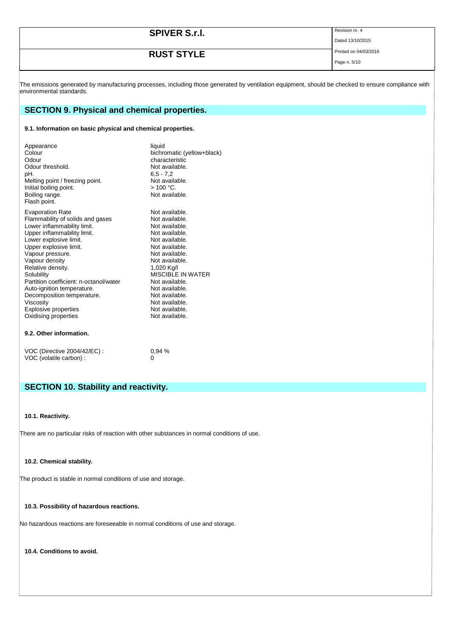| <b>SPIVER S.r.I.</b> | Revision nr. 4        |
|----------------------|-----------------------|
|                      | Dated 13/10/2015      |
| <b>RUST STYLE</b>    | Printed on 04/03/2016 |
|                      | Page n. 5/10          |

The emissions generated by manufacturing processes, including those generated by ventilation equipment, should be checked to ensure compliance with environmental standards.

## **SECTION 9. Physical and chemical properties.**

## **9.1. Information on basic physical and chemical properties.**

| Appearance<br>Colour<br>Odour<br>Odour threshold.<br>pH.<br>Melting point / freezing point.<br>Initial boiling point.<br>Boiling range.<br>Flash point. | liquid<br>bichromatic (yellow+black)<br>characteristic<br>Not available.<br>$6.5 - 7.2$<br>Not available.<br>> 100 °C.<br>Not available. |
|---------------------------------------------------------------------------------------------------------------------------------------------------------|------------------------------------------------------------------------------------------------------------------------------------------|
| <b>Evaporation Rate</b>                                                                                                                                 | Not available.                                                                                                                           |
| Flammability of solids and gases                                                                                                                        | Not available.                                                                                                                           |
| Lower inflammability limit.                                                                                                                             | Not available.                                                                                                                           |
| Upper inflammability limit.                                                                                                                             | Not available.                                                                                                                           |
| Lower explosive limit.                                                                                                                                  | Not available.                                                                                                                           |
| Upper explosive limit.                                                                                                                                  | Not available.                                                                                                                           |
| Vapour pressure.                                                                                                                                        | Not available.                                                                                                                           |
| Vapour density                                                                                                                                          | Not available.                                                                                                                           |
| Relative density.                                                                                                                                       | 1,020 Kg/l                                                                                                                               |
| Solubility                                                                                                                                              | MISCIBI E IN WATER                                                                                                                       |
| Partition coefficient: n-octanol/water                                                                                                                  | Not available.                                                                                                                           |
| Auto-ignition temperature.                                                                                                                              | Not available.                                                                                                                           |
| Decomposition temperature.                                                                                                                              | Not available.                                                                                                                           |
| Viscosity                                                                                                                                               | Not available.                                                                                                                           |
| <b>Explosive properties</b>                                                                                                                             | Not available.                                                                                                                           |
| Oxidising properties                                                                                                                                    | Not available.                                                                                                                           |

## **9.2. Other information.**

| VOC (Directive 2004/42/EC) : | 0.94% |
|------------------------------|-------|
| VOC (volatile carbon) :      |       |

# **SECTION 10. Stability and reactivity.**

### **10.1. Reactivity.**

There are no particular risks of reaction with other substances in normal conditions of use.

## **10.2. Chemical stability.**

The product is stable in normal conditions of use and storage.

## **10.3. Possibility of hazardous reactions.**

No hazardous reactions are foreseeable in normal conditions of use and storage.

**10.4. Conditions to avoid.**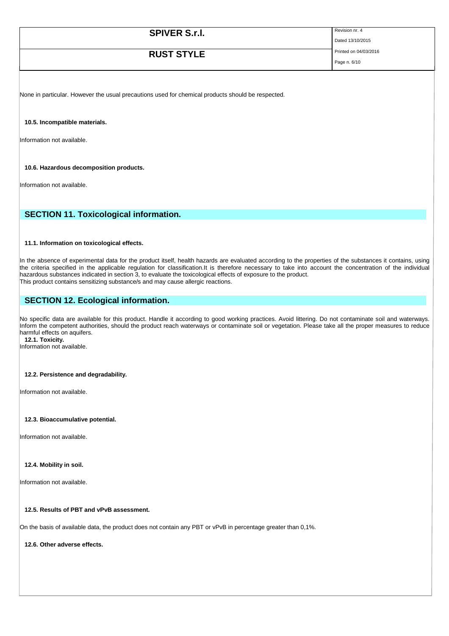| <b>SPIVER S.r.l.</b> | Revision nr. 4        |
|----------------------|-----------------------|
|                      | Dated 13/10/2015      |
| <b>RUST STYLE</b>    | Printed on 04/03/2016 |
|                      | Page n. 6/10          |

None in particular. However the usual precautions used for chemical products should be respected.

**10.5. Incompatible materials.**

Information not available.

**10.6. Hazardous decomposition products.**

Information not available.

## **SECTION 11. Toxicological information.**

#### **11.1. Information on toxicological effects.**

In the absence of experimental data for the product itself, health hazards are evaluated according to the properties of the substances it contains, using the criteria specified in the applicable regulation for classification.It is therefore necessary to take into account the concentration of the individual hazardous substances indicated in section 3, to evaluate the toxicological effects of exposure to the product. This product contains sensitizing substance/s and may cause allergic reactions.

## **SECTION 12. Ecological information.**

No specific data are available for this product. Handle it according to good working practices. Avoid littering. Do not contaminate soil and waterways. Inform the competent authorities, should the product reach waterways or contaminate soil or vegetation. Please take all the proper measures to reduce harmful effects on aquifers. **12.1. Toxicity.**

Information not available.

## **12.2. Persistence and degradability.**

Information not available.

### **12.3. Bioaccumulative potential.**

Information not available.

#### **12.4. Mobility in soil.**

Information not available.

## **12.5. Results of PBT and vPvB assessment.**

On the basis of available data, the product does not contain any PBT or vPvB in percentage greater than 0,1%.

**12.6. Other adverse effects.**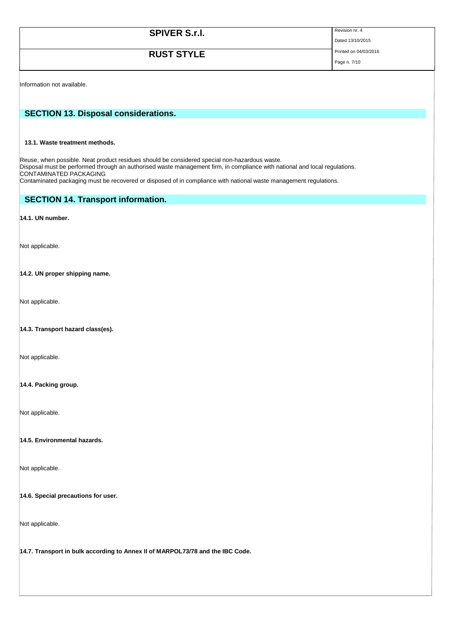| <b>SPIVER S.r.I.</b> | Revision nr. 4        |
|----------------------|-----------------------|
|                      | Dated 13/10/2015      |
| <b>RUST STYLE</b>    | Printed on 04/03/2016 |
|                      | Page n. 7/10          |

Information not available.

## **SECTION 13. Disposal considerations.**

## **13.1. Waste treatment methods.**

Reuse, when possible. Neat product residues should be considered special non-hazardous waste. Disposal must be performed through an authorised waste management firm, in compliance with national and local regulations. CONTAMINATED PACKAGING Contaminated packaging must be recovered or disposed of in compliance with national waste management regulations.

## **SECTION 14. Transport information.**

### **14.1. UN number.**

Not applicable.

### **14.2. UN proper shipping name.**

Not applicable.

### **14.3. Transport hazard class(es).**

Not applicable.

## **14.4. Packing group.**

Not applicable.

**14.5. Environmental hazards.** 

Not applicable.

#### **14.6. Special precautions for user.**

Not applicable.

**14.7. Transport in bulk according to Annex II of MARPOL73/78 and the IBC Code.**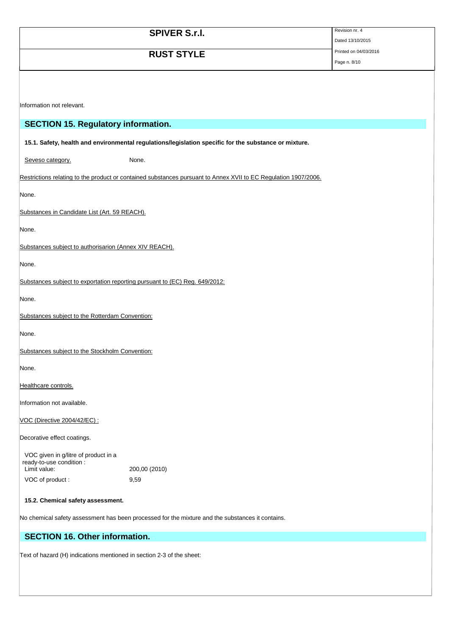|                                                                             | <b>SPIVER S.r.I.</b>                                                                                            | Revision nr. 4<br>Dated 13/10/2015 |
|-----------------------------------------------------------------------------|-----------------------------------------------------------------------------------------------------------------|------------------------------------|
|                                                                             | <b>RUST STYLE</b>                                                                                               | Printed on 04/03/2016              |
|                                                                             |                                                                                                                 | Page n. 8/10                       |
|                                                                             |                                                                                                                 |                                    |
|                                                                             |                                                                                                                 |                                    |
| Information not relevant.                                                   |                                                                                                                 |                                    |
| <b>SECTION 15. Regulatory information.</b>                                  |                                                                                                                 |                                    |
|                                                                             | 15.1. Safety, health and environmental regulations/legislation specific for the substance or mixture.           |                                    |
| Seveso category.                                                            | None.                                                                                                           |                                    |
|                                                                             | Restrictions relating to the product or contained substances pursuant to Annex XVII to EC Regulation 1907/2006. |                                    |
| None.                                                                       |                                                                                                                 |                                    |
| Substances in Candidate List (Art. 59 REACH).                               |                                                                                                                 |                                    |
| None.                                                                       |                                                                                                                 |                                    |
| Substances subject to authorisarion (Annex XIV REACH).                      |                                                                                                                 |                                    |
| None.                                                                       |                                                                                                                 |                                    |
| Substances subject to exportation reporting pursuant to (EC) Reg. 649/2012: |                                                                                                                 |                                    |
| None.                                                                       |                                                                                                                 |                                    |
| Substances subject to the Rotterdam Convention:                             |                                                                                                                 |                                    |
| None.                                                                       |                                                                                                                 |                                    |
| Substances subject to the Stockholm Convention:                             |                                                                                                                 |                                    |
| None.                                                                       |                                                                                                                 |                                    |
| Healthcare controls.                                                        |                                                                                                                 |                                    |
| Information not available.                                                  |                                                                                                                 |                                    |
| VOC (Directive 2004/42/EC) :                                                |                                                                                                                 |                                    |
| Decorative effect coatings.                                                 |                                                                                                                 |                                    |
| VOC given in g/litre of product in a                                        |                                                                                                                 |                                    |
| ready-to-use condition :<br>Limit value:                                    | 200,00 (2010)                                                                                                   |                                    |
| VOC of product:                                                             | 9,59                                                                                                            |                                    |

## **15.2. Chemical safety assessment.**

No chemical safety assessment has been processed for the mixture and the substances it contains.

# **SECTION 16. Other information.**

Text of hazard (H) indications mentioned in section 2-3 of the sheet: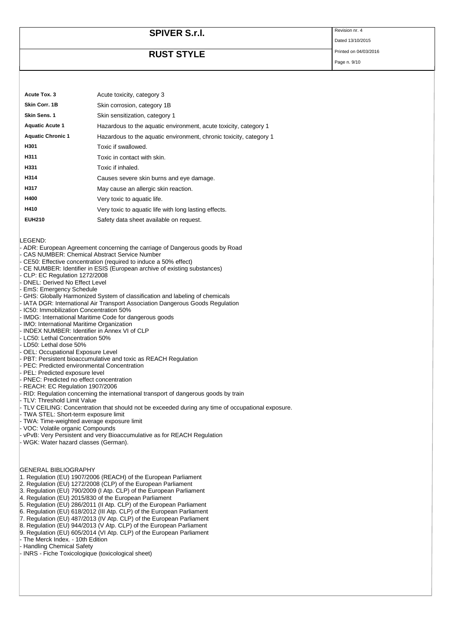# **SPIVER S.r.I.** Revision nr. 4

# **RUST STYLE** Printed on 04/03/2016

Page n. 9/10

Dated 13/10/2015

| Acute Tox. 3             | Acute toxicity, category 3                                         |
|--------------------------|--------------------------------------------------------------------|
| Skin Corr. 1B            | Skin corrosion, category 1B                                        |
| Skin Sens. 1             | Skin sensitization, category 1                                     |
| <b>Aquatic Acute 1</b>   | Hazardous to the aquatic environment, acute toxicity, category 1   |
| <b>Aquatic Chronic 1</b> | Hazardous to the aquatic environment, chronic toxicity, category 1 |
| H301                     | Toxic if swallowed.                                                |
| H311                     | Toxic in contact with skin.                                        |
| H331                     | Toxic if inhaled.                                                  |
| H314                     | Causes severe skin burns and eye damage.                           |
| H317                     | May cause an allergic skin reaction.                               |
| H400                     | Very toxic to aquatic life.                                        |
| H410                     | Very toxic to aquatic life with long lasting effects.              |
| <b>EUH210</b>            | Safety data sheet available on request.                            |

LEGEND:

- ADR: European Agreement concerning the carriage of Dangerous goods by Road
- CAS NUMBER: Chemical Abstract Service Number
- CE50: Effective concentration (required to induce a 50% effect)
- CE NUMBER: Identifier in ESIS (European archive of existing substances)
- CLP: EC Regulation 1272/2008
- DNEL: Derived No Effect Level
- EmS: Emergency Schedule
- GHS: Globally Harmonized System of classification and labeling of chemicals
- IATA DGR: International Air Transport Association Dangerous Goods Regulation
- IC50: Immobilization Concentration 50%
- IMDG: International Maritime Code for dangerous goods
- IMO: International Maritime Organization
- INDEX NUMBER: Identifier in Annex VI of CLP
- LC50: Lethal Concentration 50%
- LD50: Lethal dose 50%
- OEL: Occupational Exposure Level
- PBT: Persistent bioaccumulative and toxic as REACH Regulation
- PEC: Predicted environmental Concentration
- PEL: Predicted exposure level
- PNEC: Predicted no effect concentration
- REACH: EC Regulation 1907/2006
- RID: Regulation concerning the international transport of dangerous goods by train
- TLV: Threshold Limit Value
- TLV CEILING: Concentration that should not be exceeded during any time of occupational exposure.
- TWA STEL: Short-term exposure limit
- TWA: Time-weighted average exposure limit
- VOC: Volatile organic Compounds
- vPvB: Very Persistent and very Bioaccumulative as for REACH Regulation
- WGK: Water hazard classes (German).

GENERAL BIBLIOGRAPHY

- 1. Regulation (EU) 1907/2006 (REACH) of the European Parliament
- 2. Regulation (EU) 1272/2008 (CLP) of the European Parliament
- 3. Regulation (EU) 790/2009 (I Atp. CLP) of the European Parliament
- 4. Regulation (EU) 2015/830 of the European Parliament
- 5. Regulation (EU) 286/2011 (II Atp. CLP) of the European Parliament
- 6. Regulation (EU) 618/2012 (III Atp. CLP) of the European Parliament
- 7. Regulation (EU) 487/2013 (IV Atp. CLP) of the European Parliament
- 8. Regulation (EU) 944/2013 (V Atp. CLP) of the European Parliament
- 9. Regulation (EU) 605/2014 (VI Atp. CLP) of the European Parliament
- The Merck Index. 10th Edition
- Handling Chemical Safety
- INRS Fiche Toxicologique (toxicological sheet)